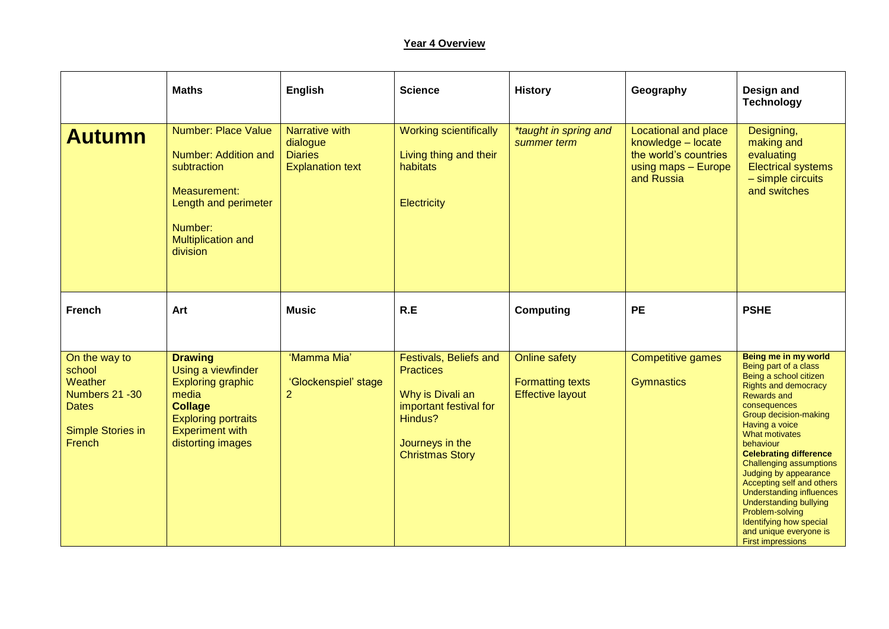## **Year 4 Overview**

|                                                                                                                    | <b>Maths</b>                                                                                                                                                             | <b>English</b>                                                          | <b>Science</b>                                                                                                                                   | <b>History</b>                                                             | Geography                                                                                                       | Design and<br><b>Technology</b>                                                                                                                                                                                                                                                                                                                                                                                                                                                                           |
|--------------------------------------------------------------------------------------------------------------------|--------------------------------------------------------------------------------------------------------------------------------------------------------------------------|-------------------------------------------------------------------------|--------------------------------------------------------------------------------------------------------------------------------------------------|----------------------------------------------------------------------------|-----------------------------------------------------------------------------------------------------------------|-----------------------------------------------------------------------------------------------------------------------------------------------------------------------------------------------------------------------------------------------------------------------------------------------------------------------------------------------------------------------------------------------------------------------------------------------------------------------------------------------------------|
| <b>Autumn</b>                                                                                                      | <b>Number: Place Value</b><br>Number: Addition and<br>subtraction<br>Measurement:<br>Length and perimeter<br>Number:<br><b>Multiplication and</b><br>division            | Narrative with<br>dialogue<br><b>Diaries</b><br><b>Explanation text</b> | <b>Working scientifically</b><br>Living thing and their<br>habitats<br>Electricity                                                               | *taught in spring and<br>summer term                                       | <b>Locational and place</b><br>knowledge - locate<br>the world's countries<br>using maps - Europe<br>and Russia | Designing,<br>making and<br>evaluating<br><b>Electrical systems</b><br>- simple circuits<br>and switches                                                                                                                                                                                                                                                                                                                                                                                                  |
| <b>French</b>                                                                                                      | Art                                                                                                                                                                      | <b>Music</b>                                                            | R.E                                                                                                                                              | <b>Computing</b>                                                           | <b>PE</b>                                                                                                       | <b>PSHE</b>                                                                                                                                                                                                                                                                                                                                                                                                                                                                                               |
| On the way to<br>school<br><b>Weather</b><br>Numbers 21 - 30<br><b>Dates</b><br><b>Simple Stories in</b><br>French | <b>Drawing</b><br>Using a viewfinder<br><b>Exploring graphic</b><br>media<br><b>Collage</b><br><b>Exploring portraits</b><br><b>Experiment with</b><br>distorting images | 'Mamma Mia'<br>'Glockenspiel' stage<br>$\overline{2}$                   | Festivals, Beliefs and<br><b>Practices</b><br>Why is Divali an<br>important festival for<br>Hindus?<br>Journeys in the<br><b>Christmas Story</b> | <b>Online safety</b><br><b>Formatting texts</b><br><b>Effective layout</b> | <b>Competitive games</b><br><b>Gymnastics</b>                                                                   | Being me in my world<br>Being part of a class<br>Being a school citizen<br><b>Rights and democracy</b><br>Rewards and<br>consequences<br>Group decision-making<br>Having a voice<br>What motivates<br>behaviour<br><b>Celebrating difference</b><br>Challenging assumptions<br>Judging by appearance<br>Accepting self and others<br><b>Understanding influences</b><br><b>Understanding bullying</b><br>Problem-solving<br>Identifying how special<br>and unique everyone is<br><b>First impressions</b> |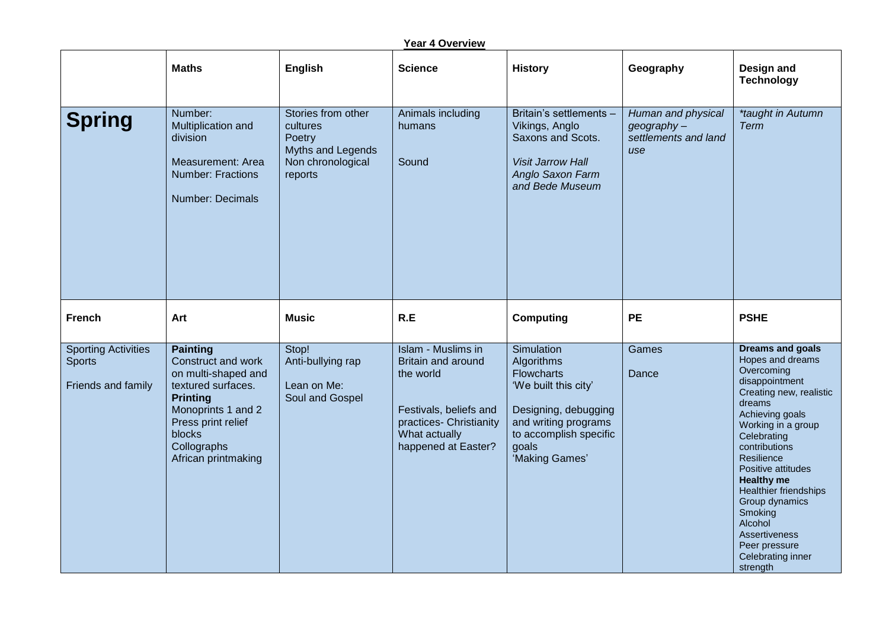| Year 4 Overview                                                   |                                                                                                                                                                                                   |                                                                                               |                                                                                                                                                           |                                                                                                                                                                            |                                                                 |                                                                                                                                                                                                                                                                                                                                                                                               |  |  |
|-------------------------------------------------------------------|---------------------------------------------------------------------------------------------------------------------------------------------------------------------------------------------------|-----------------------------------------------------------------------------------------------|-----------------------------------------------------------------------------------------------------------------------------------------------------------|----------------------------------------------------------------------------------------------------------------------------------------------------------------------------|-----------------------------------------------------------------|-----------------------------------------------------------------------------------------------------------------------------------------------------------------------------------------------------------------------------------------------------------------------------------------------------------------------------------------------------------------------------------------------|--|--|
|                                                                   | <b>Maths</b>                                                                                                                                                                                      | English                                                                                       | <b>Science</b>                                                                                                                                            | <b>History</b>                                                                                                                                                             | Geography                                                       | Design and<br><b>Technology</b>                                                                                                                                                                                                                                                                                                                                                               |  |  |
| <b>Spring</b>                                                     | Number:<br>Multiplication and<br>division<br><b>Measurement: Area</b><br><b>Number: Fractions</b><br>Number: Decimals                                                                             | Stories from other<br>cultures<br>Poetry<br>Myths and Legends<br>Non chronological<br>reports | Animals including<br>humans<br>Sound                                                                                                                      | Britain's settlements -<br>Vikings, Anglo<br>Saxons and Scots.<br><b>Visit Jarrow Hall</b><br>Anglo Saxon Farm<br>and Bede Museum                                          | Human and physical<br>geography-<br>settlements and land<br>use | *taught in Autumn<br><b>Term</b>                                                                                                                                                                                                                                                                                                                                                              |  |  |
| <b>French</b>                                                     | Art                                                                                                                                                                                               | <b>Music</b>                                                                                  | R.E                                                                                                                                                       | <b>Computing</b>                                                                                                                                                           | <b>PE</b>                                                       | <b>PSHE</b>                                                                                                                                                                                                                                                                                                                                                                                   |  |  |
| <b>Sporting Activities</b><br><b>Sports</b><br>Friends and family | <b>Painting</b><br>Construct and work<br>on multi-shaped and<br>textured surfaces.<br><b>Printing</b><br>Monoprints 1 and 2<br>Press print relief<br>blocks<br>Collographs<br>African printmaking | Stop!<br>Anti-bullying rap<br>Lean on Me:<br>Soul and Gospel                                  | <b>Islam - Muslims in</b><br>Britain and around<br>the world<br>Festivals, beliefs and<br>practices- Christianity<br>What actually<br>happened at Easter? | Simulation<br>Algorithms<br><b>Flowcharts</b><br>'We built this city'<br>Designing, debugging<br>and writing programs<br>to accomplish specific<br>goals<br>'Making Games' | Games<br>Dance                                                  | <b>Dreams and goals</b><br>Hopes and dreams<br>Overcoming<br>disappointment<br>Creating new, realistic<br>dreams<br>Achieving goals<br>Working in a group<br>Celebrating<br>contributions<br>Resilience<br>Positive attitudes<br><b>Healthy me</b><br><b>Healthier friendships</b><br>Group dynamics<br>Smoking<br>Alcohol<br>Assertiveness<br>Peer pressure<br>Celebrating inner<br>strength |  |  |